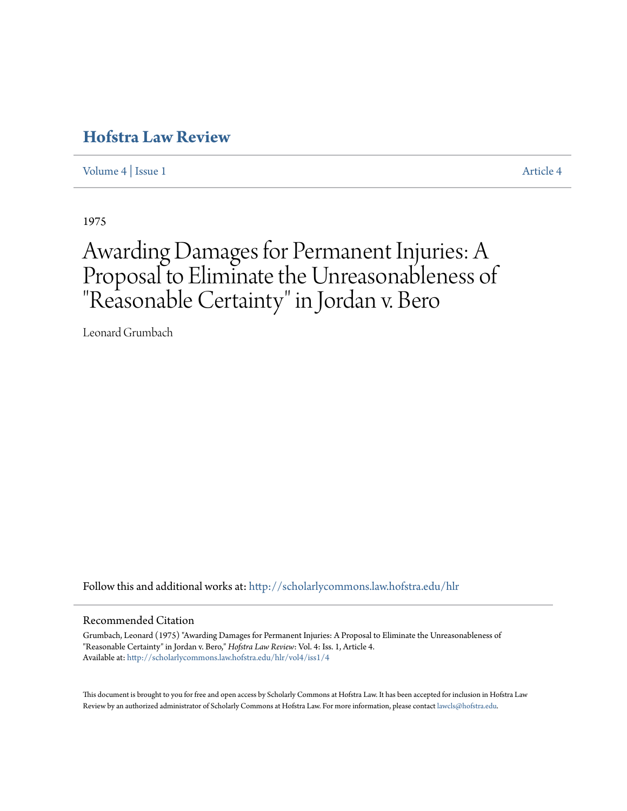[Volume 4](http://scholarlycommons.law.hofstra.edu/hlr/vol4?utm_source=scholarlycommons.law.hofstra.edu%2Fhlr%2Fvol4%2Fiss1%2F4&utm_medium=PDF&utm_campaign=PDFCoverPages) | [Issue 1](http://scholarlycommons.law.hofstra.edu/hlr/vol4/iss1?utm_source=scholarlycommons.law.hofstra.edu%2Fhlr%2Fvol4%2Fiss1%2F4&utm_medium=PDF&utm_campaign=PDFCoverPages) [Article 4](http://scholarlycommons.law.hofstra.edu/hlr/vol4/iss1/4?utm_source=scholarlycommons.law.hofstra.edu%2Fhlr%2Fvol4%2Fiss1%2F4&utm_medium=PDF&utm_campaign=PDFCoverPages)

1975

# Awarding Damages for Permanent Injuries: A Proposal to Eliminate the Unreasonableness of "Reasonable Certainty" in Jordan v. Bero

Leonard Grumbach

Follow this and additional works at: [http://scholarlycommons.law.hofstra.edu/hlr](http://scholarlycommons.law.hofstra.edu/hlr?utm_source=scholarlycommons.law.hofstra.edu%2Fhlr%2Fvol4%2Fiss1%2F4&utm_medium=PDF&utm_campaign=PDFCoverPages)

#### Recommended Citation

Grumbach, Leonard (1975) "Awarding Damages for Permanent Injuries: A Proposal to Eliminate the Unreasonableness of "Reasonable Certainty" in Jordan v. Bero," *Hofstra Law Review*: Vol. 4: Iss. 1, Article 4. Available at: [http://scholarlycommons.law.hofstra.edu/hlr/vol4/iss1/4](http://scholarlycommons.law.hofstra.edu/hlr/vol4/iss1/4?utm_source=scholarlycommons.law.hofstra.edu%2Fhlr%2Fvol4%2Fiss1%2F4&utm_medium=PDF&utm_campaign=PDFCoverPages)

This document is brought to you for free and open access by Scholarly Commons at Hofstra Law. It has been accepted for inclusion in Hofstra Law Review by an authorized administrator of Scholarly Commons at Hofstra Law. For more information, please contact [lawcls@hofstra.edu](mailto:lawcls@hofstra.edu).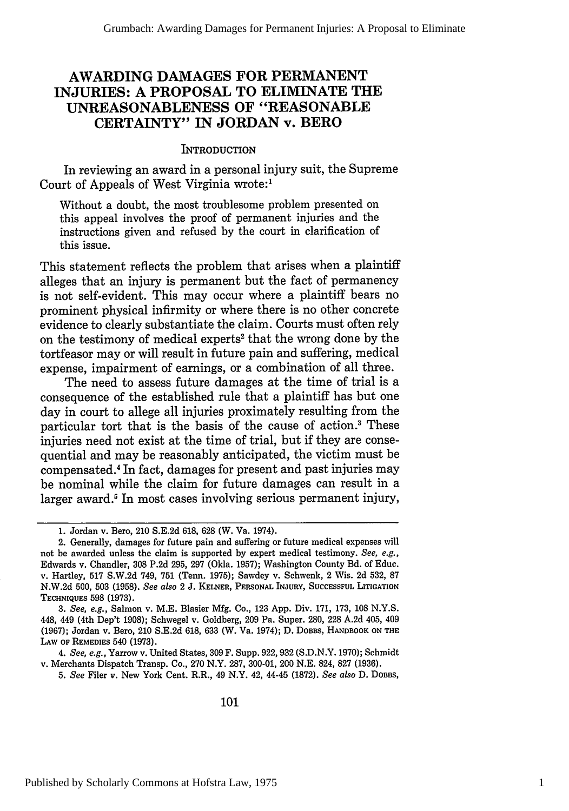# **AWARDING DAMAGES FOR PERMANENT INJURIES: A PROPOSAL TO ELIMINATE THE UNREASONABLENESS OF "REASONABLE CERTAINTY" IN JORDAN v. BERO**

#### **INTRODUCTION**

In reviewing an award in a personal injury suit, the Supreme Court of Appeals of West Virginia wrote:'

Without a doubt, the most troublesome problem presented on this appeal involves the proof of permanent injuries and the instructions given and refused **by** the court in clarification of this issue.

This statement reflects the problem that arises when a plaintiff alleges that an injury is permanent but the fact of permanency is not self-evident. This may occur where a plaintiff bears no prominent physical infirmity or where there is no other concrete evidence to clearly substantiate the claim. Courts must often rely on the testimony of medical experts2 that the wrong done **by** the tortfeasor may or will result in future pain and suffering, medical expense, impairment of earnings, or a combination of all three.

The need to assess future damages at the time of trial is a consequence of the established rule that a plaintiff has but one day in court to allege all injuries proximately resulting from the particular tort that is the basis of the cause of action.<sup>3</sup> These injuries need not exist at the time of trial, but if they are consequential and may be reasonably anticipated, the victim must be compensated. In fact, damages for present and past injuries may be nominal while the claim for future damages can result in a larger award.<sup>5</sup> In most cases involving serious permanent injury,

*3. See, e.g.,* Salmon v. M.E. Blasier Mfg. Co., **123** App. Div. 171, 173, **108** N.Y.S. 448, 449 (4th Dep't 1908); Schwegel v. Goldberg, **209** Pa. Super. **280, 228** A.2d 405, 409 (1967); Jordan v. Bero, 210 S.E.2d 618, **633** (W. Va. 1974); D. DOBBS, HANDBOOK **ON THE** LAW OF REMEDIES 540 **(1973).**

*4. See, e.g.,* Yarrow v. United States, **309** F. Supp. **922, 932** (S.D.N.Y. 1970); Schmidt v. Merchants Dispatch Transp. Co., **270** N.Y. **287,** 300-01, 200 N.E. 824, **827 (1936).**

*5. See* Filer v. New York Cent. R.R., 49 N.Y. 42, 44-45 (1872). *See also* D. DOBBS,

**<sup>1.</sup>** Jordan v. Bero, 210 **S.E.2d 618, 628** (W. Va. 1974).

<sup>2.</sup> Generally, damages for future pain and suffering or future medical expenses will not be awarded unless the claim is supported **by** expert medical testimony. *See, e.g.,* Edwards v. Chandler, **308 P.2d 295, 297** (Okla. **1957);** Washington County Bd. of Educ. v. Hartley, **517 S.W.2d** 749, **751** (Tenn. **1975);** Sawdey v. Schwenk, 2 Wis. **2d 532, 87 N.W.2d** 500, **503 (1958).** *See also* 2 **J.** KELNER, PERSONAL INJURY, SUCCESSFUL **LITIGATION** TECHNIQUES **598** (1973).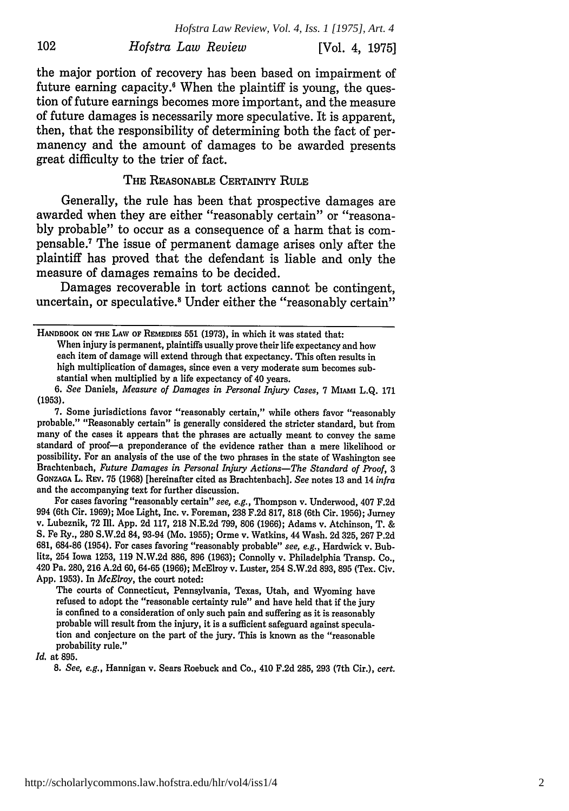*Hofstra Law Review, Vol. 4, Iss. 1 [1975], Art. 4* 102 *Hofstra Law Review* [Vol. 4, 1975]

the major portion of recovery has been based on impairment of future earning capacity. $6$  When the plaintiff is young, the question of future earnings becomes more important, and the measure of future damages is necessarily more speculative. It is apparent, then, that the responsibility of determining both the fact of permanency and the amount of damages to be awarded presents great difficulty to the trier of fact.

#### THE REASONABLE CERTAINTY RULE

Generally, the rule has been that prospective damages are awarded when they are either "reasonably certain" or "reasonably probable" to occur as a consequence of a harm that is compensable.7 The issue of permanent damage arises only after the plaintiff has proved that the defendant is liable and only the measure of damages remains to be decided.

Damages recoverable in tort actions cannot be contingent, uncertain, or speculative.8 Under either the "reasonably certain"

7. Some jurisdictions favor "reasonably certain," while others favor "reasonably probable." "Reasonably certain" is generally considered the stricter standard, but from many of the cases it appears that the phrases are actually meant to convey the same standard of proof-a preponderance of the evidence rather than a mere likelihood or possibility. For an analysis of the use of the two phrases in the state of Washington see Brachtenbach, *Future Damages in Personal Injury Actions-The Standard of Proof, 3* GONZAGA L. REv. 75 (1968) [hereinafter cited as Brachtenbach]. *See* notes 13 and 14 *infra* and the accompanying text for further discussion.

For cases favoring "reasonably certain" *see, e.g.,* Thompson v. Underwood, 407 F.2d 994 (6th Cir. 1969); Moe Light, Inc. v. Foreman, 238 F.2d 817, 818 (6th Cir. 1956); Jurney v. Lubeznik, 72 Ill. App. 2d 117, 218 N.E.2d 799, 806 (1966); Adams v. Atchinson, T. & S. Fe Ry., 280 S.W.2d 84, 93-94 (Mo. 1955); Orme v. Watkins, 44 Wash. 2d 325, 267 P.2d **681,** 684-86 (1954). For cases favoring "reasonably probable" *see, e.g.,* Hardwick v. Bublitz, 254 Iowa 1253, 119 N.W.2d 886, **896** (1963); Connolly v. Philadelphia Transp. Co., 420 Pa. 280, 216 A.2d 60, 64-65 (1966); McElroy v. Luster, 254 S.W.2d 893, 895 (Tex. Civ. App. 1953). In *McElroy,* the court noted:

The courts of Connecticut, Pennsylvania, Texas, Utah, and Wyoming have refused to adopt the "reasonable certainty rule" and have held that if the jury is confined to a consideration of only such pain and suffering as it is reasonably probable will result from the injury, it is a sufficient safeguard against speculation and conjecture on the part of the jury. This is known as the "reasonable probability rule."

*Id.* at 895.

*8. See, e.g.,* Hannigan v. Sears Roebuck and Co., 410 F.2d 285, 293 (7th Cir.), *cert.*

HANDBOOK **ON THE** LAW **OF** REMEDIES **551** (1973), in which it was stated that: When injury is permanent, plaintiffs usually prove their life expectancy and how each item of damage will extend through that expectancy. This often results in high multiplication of damages, since even a very moderate sum becomes substantial when multiplied by a life expectancy of 40 years.

*<sup>6.</sup> See* Daniels, *Measure of Damages in Personal Injury Cases,* 7 MIAM L.Q. 171 **(1953).**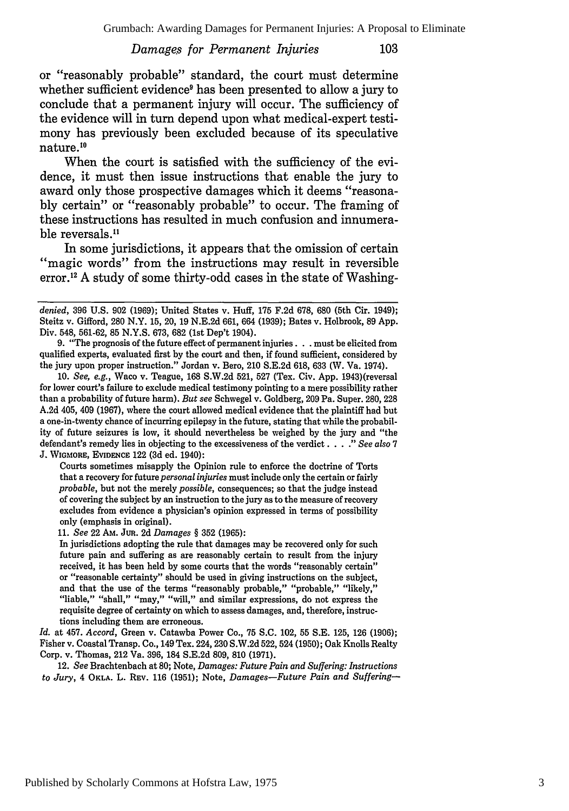or "reasonably probable" standard, the court must determine whether sufficient evidence<sup>9</sup> has been presented to allow a jury to conclude that a permanent injury will occur. The sufficiency of the evidence will in turn depend upon what medical-expert testimony has previously been excluded because of its speculative nature.<sup>10</sup>

When the court is satisfied with the sufficiency of the evidence, it must then issue instructions that enable the jury to award only those prospective damages which it deems "reasonably certain" or "reasonably probable" to occur. The framing of these instructions has resulted in much confusion and innumerable reversals.<sup>11</sup>

In some jurisdictions, it appears that the omission of certain "magic words" from the instructions may result in reversible error.<sup>12</sup> A study of some thirty-odd cases in the state of Washing-

Courts sometimes misapply the Opinion rule to enforce the doctrine of Torts that a recovery for future *personal injuries* must include only the certain or fairly *probable,* but not the merely *possible,* consequences; so that the judge instead of covering the subject by an instruction to the jury as to the measure of recovery excludes from evidence a physician's opinion expressed in terms of possibility only (emphasis in original).

**11.** *See* 22 Am. JUR. 2d *Damages §* 352 (1965):

In jurisdictions adopting the rule that damages may be recovered only for such future pain and suffering as are reasonably certain to result from the injury received, it has been held by some courts that the words "reasonably certain" or "reasonable certainty" should be used in giving instructions on the subject, and that the use of the terms "reasonably probable," "probable," "likely," "liable," "shall," "may," "will," and similar expressions, do not express the requisite degree of certainty on which to assess damages, and, therefore, instructions including them are erroneous.

*Id.* at 457. *Accord,* Green v. Catawba Power Co., 75 S.C. 102, 55 S.E. 125, 126 (1906); Fisher v. Coastal Transp. Co., 149 Tex. 224, 230 S.W.2d 522, 524 (1950); Oak Knolls Realty Corp. v. Thomas, 212 Va. 396, 184 S.E.2d 809, 810 (1971).

12. *See* Brachtenbach at 80; Note, *Damages: Future Pain and Suffering: Instructions to Jury,* 4 **OKLA.** L. REV. 116 (1951); Note, *Damages-Future Pain and Suffering-*

*denied,* **396 U.S.** 902 **(1969);** United States v. Huff, **175 F.2d 678, 680** (5th Cir. 1949); Steitz v. Gifford, 280 N.Y. 15, 20, 19 N.E.2d 661, 664 (1939); Bates v. Holbrook, 89 App. Div. 548, 561-62, 85 N.Y.S. 673, **682** (1st Dep't 1904).

<sup>9. &</sup>quot;The prognosis of the future effect of permanent injuries. **. .** must be elicited from qualified experts, evaluated first by the court and then, if found sufficient, considered by the jury upon proper instruction." Jordan v. Bero, 210 S.E.2d 618, 633 (W. Va. 1974).

<sup>10.</sup> *See, e.g.,* Waco v. Teague, 168 S.W.2d 521, 527 (Tex. Civ. App. 1943)(reversal for lower court's failure to exclude medical testimony pointing to a mere possibility rather than a probability of future harm). *But see* Schwegel v. Goldberg, 209 Pa. Super. 280, 228 A.2d 405, 409 (1967), where the court allowed medical evidence that the plaintiff had but a one-in-twenty chance of incurring epilepsy in the future, stating that while the probability of future seizures is low, it should nevertheless be weighed by the jury and "the defendant's remedy lies in objecting to the excessiveness of the verdict .. " *See also* 7 J. WIoMORE, **EVIDENCE** 122 (3d ed. 1940):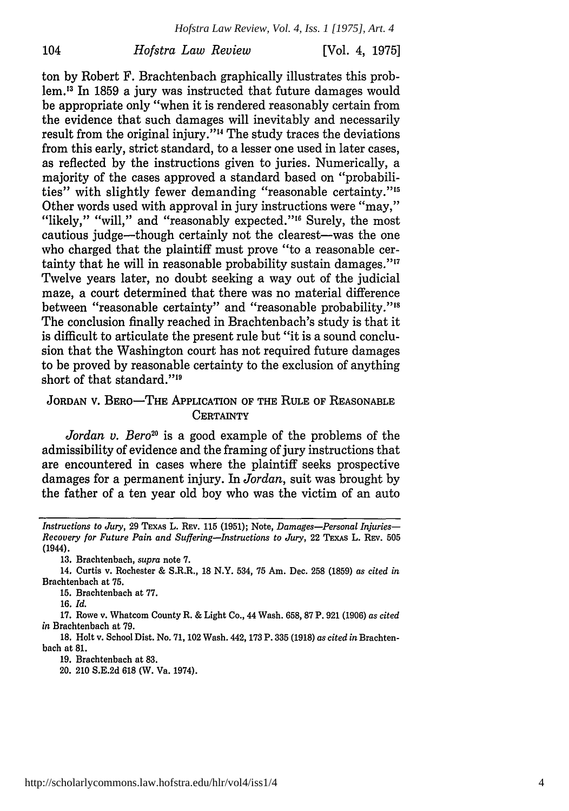*Hofstra Law Review, Vol. 4, Iss. 1 [1975], Art. 4*

104 *Hofstra Law Review* [Vol. 4, **1975]**

ton by Robert F. Brachtenbach graphically illustrates this problem.'3 In 1859 a jury was instructed that future damages would be appropriate only "when it is rendered reasonably certain from the evidence that such damages will inevitably and necessarily result from the original injury."<sup>14</sup> The study traces the deviations from this early, strict standard, to a lesser one used in later cases, as reflected by the instructions given to juries. Numerically, a majority of the cases approved a standard based on "probabilities" with slightly fewer demanding "reasonable certainty."<sup>15</sup> Other words used with approval in jury instructions were "may," "likely," "will," and "reasonably expected."<sup>16</sup> Surely, the most cautious judge-though certainly not the clearest-was the one who charged that the plaintiff must prove "to a reasonable certainty that he will in reasonable probability sustain damages."<sup>17</sup> Twelve years later, no doubt seeking a way out of the judicial maze, a court determined that there was no material difference between "reasonable certainty" and "reasonable probability."<sup>18</sup> The conclusion finally reached in Brachtenbach's study is that it is difficult to articulate the present rule but "it is a sound conclusion that the Washington court has not required future damages to be proved by reasonable certainty to the exclusion of anything short of that standard."<sup>19</sup>

# JORDAN V. BERO-THE APPLICATION OF THE RULE OF REASONABLE **CERTAINTY**

*Jordan v. Bero<sup>20</sup>* is a good example of the problems of the admissibility of evidence and the framing of jury instructions that are encountered in cases where the plaintiff seeks prospective damages for a permanent injury. In *Jordan,* suit was brought by the father of a ten year old boy who was the victim of an auto

**13.** Brachtenbach, *supra* note **7.**

14. Curtis v. Rochester **&** S.R.R., **18** N.Y. 534, **75** Am. Dec. **258 (1859)** *as cited in* Brachtenbach at **75.**

**15.** Brachtenbach at **77.**

**16.** *Id.*

**17.** Rowe v. Whatcom County R. & Light Co., 44 Wash. **658, 87** P. **921 (1906)** *as cited in* Brachtenbach at **79.**

**18.** Holt v. School Dist. No. **71,** 102 Wash. 442, **173** P. **335 (1918)** *as cited in* Brachtenbach at **81.**

**19.** Brachtenbach at **83.**

20. 210 **S.E.2d 618 (W.** Va. 1974).

*Instructions to Jury,* 29 TEXAS L. REV. 115 **(1951);** Note, *Damages-Personal Injuries-Recovery for Future Pain and Suffering-Instructions to Jury,* 22 TEXAS L. REv. **505** (1944).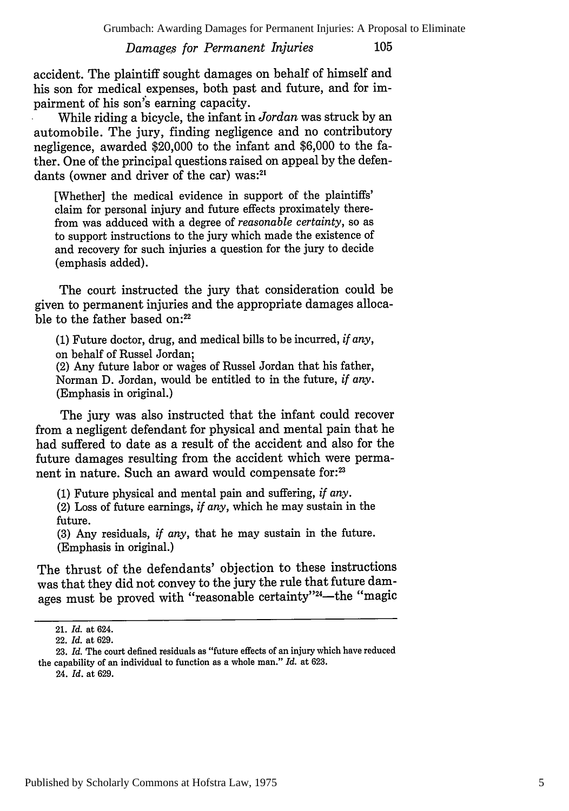105

accident. The plaintiff sought damages on behalf of himself and his son for medical expenses, both past and future, and for impairment of his son's earning capacity.

While riding a bicycle, the infant in *Jordan* was struck by an automobile. The jury, finding negligence and no contributory negligence, awarded \$20,000 to the infant and \$6,000 to the father. One of the principal questions raised on appeal by the defendants (owner and driver of the car) was:<sup>21</sup>

[Whether] the medical evidence in support of the plaintiffs' claim for personal injury and future effects proximately therefrom was adduced with a degree of *reasonable certainty,* so as to support instructions to the jury which made the existence of and recovery for such injuries a question for the jury to decide (emphasis added).

The court instructed the jury that consideration could be given to permanent injuries and the appropriate damages allocable to the father based on: $22$ 

(1) Future doctor, drug, and medical bills to be incurred, *if any,* on behalf of Russel Jordan;

(2) Any future labor or wages of Russel Jordan that his father, Norman D. Jordan, would be entitled to in the future, *if any.* (Emphasis in original.)

The jury was also instructed that the infant could recover from a negligent defendant for physical and mental pain that he had suffered to date as a result of the accident and also for the future damages resulting from the accident which were permanent in nature. Such an award would compensate for:<sup>23</sup>

(1) Future physical and mental pain and suffering, *if any.*

(2) Loss of future earnings, *if any,* which he may sustain in the future.

(3) Any residuals, *if any,* that he may sustain in the future. (Emphasis in original.)

The thrust of the defendants' objection to these instructions was that they did not convey to the jury the rule that future damages must be proved with "reasonable certainty"<sup>24</sup>-the "magic

<sup>21.</sup> *Id.* at 624.

<sup>22.</sup> *Id.* at 629.

**<sup>23.</sup>** *Id.* The court defined residuals as "future effects of an injury which have reduced the capability of an individual to function as a whole man." Id. at 623.

<sup>24.</sup> Id. at 629.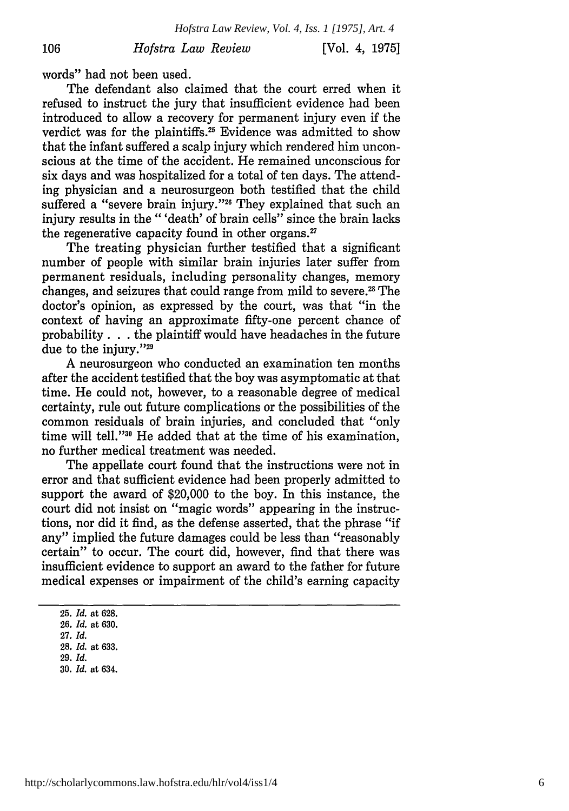[Vol. 4, **1975]**

words" had not been used.

106

The defendant also claimed that the court erred when it refused to instruct the jury that insufficient evidence had been introduced to allow a recovery for permanent injury even if the verdict was for the plaintiffs.<sup>25</sup> Evidence was admitted to show that the infant suffered a scalp injury which rendered him unconscious at the time of the accident. He remained unconscious for six days and was hospitalized for a total of ten days. The attending physician and a neurosurgeon both testified that the child suffered a "severe brain injury."<sup>26</sup> They explained that such an injury results in the "'death' of brain cells" since the brain lacks the regenerative capacity found in other organs.<sup>27</sup>

The treating physician further testified that a significant number of people with similar brain injuries later suffer from permanent residuals, including personality changes, memory changes, and seizures that could range from mild to severe.28 The doctor's opinion, as expressed by the court, was that "in the context of having an approximate fifty-one percent chance of probability. **. .** the plaintiff would have headaches in the future due to the injury."29

A neurosurgeon who conducted an examination ten months after the accident testified that the boy was asymptomatic at that time. He could not, however, to a reasonable degree of medical certainty, rule out future complications or the possibilities of the common residuals of brain injuries, and concluded that "only time will tell."<sup>30</sup> He added that at the time of his examination, no further medical treatment was needed.

The appellate court found that the instructions were not in error and that sufficient evidence had been properly admitted to support the award of \$20,000 to the boy. In this instance, the court did not insist on "magic words" appearing in the instructions, nor did it find, as the defense asserted, that the phrase "if any" implied the future damages could be less than "reasonably certain" to occur. The court did, however, find that there was insufficient evidence to support an award to the father for future medical expenses or impairment of the child's earning capacity

<sup>25.</sup> *Id.* at **628.**

<sup>26.</sup> *Id.* at 630. 27. *Id.*

<sup>28.</sup> *Id.* at 633.

<sup>29.</sup> *Id.*

<sup>30.</sup> *Id.* at 634.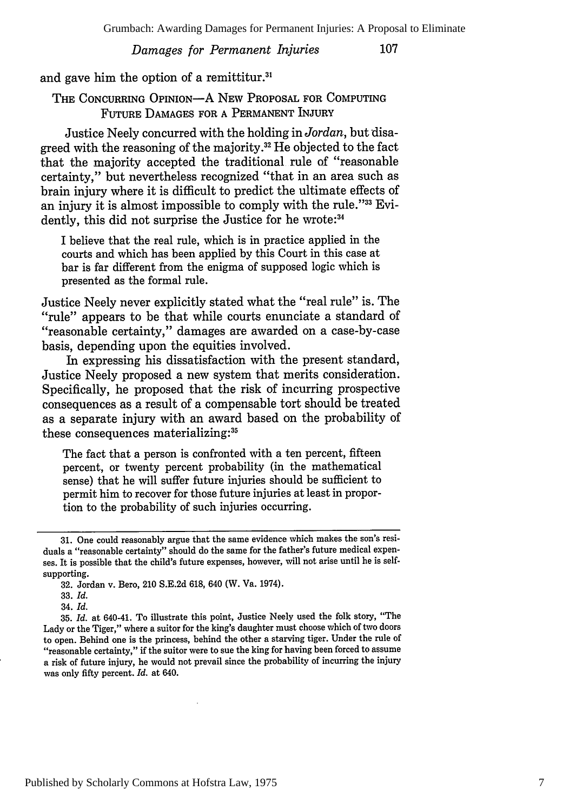and gave him the option of a remittitur.<sup>31</sup>

THE CONCURRING OPINION-A NEW PROPOSAL FOR COMPUTING FUTURE DAMAGES FOR A PERMANENT INJURY

Justice Neely concurred with the holding in *Jordan,* but disagreed with the reasoning of the majority.<sup>32</sup> He objected to the fact that the majority accepted the traditional rule of "reasonable certainty," but nevertheless recognized "that in an area such as brain injury where it is difficult to predict the ultimate effects of an injury it is almost impossible to comply with the rule."33 Evidently, this did not surprise the Justice for he wrote:<sup>34</sup>

I believe that the real rule, which is in practice applied in the courts and which has been applied by this Court in this case at bar is far different from the enigma of supposed logic which is presented as the formal rule.

Justice Neely never explicitly stated what the "real rule" is. The "rule" appears to be that while courts enunciate a standard of "reasonable certainty," damages are awarded on a case-by-case basis, depending upon the equities involved.

In expressing his dissatisfaction with the present standard, Justice Neely proposed a new system that merits consideration. Specifically, he proposed that the risk of incurring prospective consequences as a result of a compensable tort should be treated as a separate injury with an award based on the probability of these consequences materializing:

The fact that a person is confronted with a ten percent, fifteen percent, or twenty percent probability (in the mathematical sense) that he will suffer future injuries should be sufficient to permit him to recover for those future injuries at least in proportion to the probability of such injuries occurring.

34. *Id.*

35. *Id.* at 640-41. To illustrate this point, Justice Neely used the folk story, "The Lady or the Tiger," where a suitor for the king's daughter must choose which of two doors to open. Behind one is the princess, behind the other a starving tiger. Under the rule of "reasonable certainty," if the suitor were to sue the king for having been forced to assume a risk of future injury, he would not prevail since the probability of incurring the injury was only fifty percent. *Id.* at 640.

<sup>31.</sup> One could reasonably argue that the same evidence which makes the son's residuals a "reasonable certainty" should do the same for the father's future medical expenses. It is possible that the child's future expenses, however, will not arise until he is selfsupporting.

<sup>32.</sup> Jordan v. Bero, 210 S.E.2d 618, 640 (W. Va. 1974).

<sup>33.</sup> *Id.*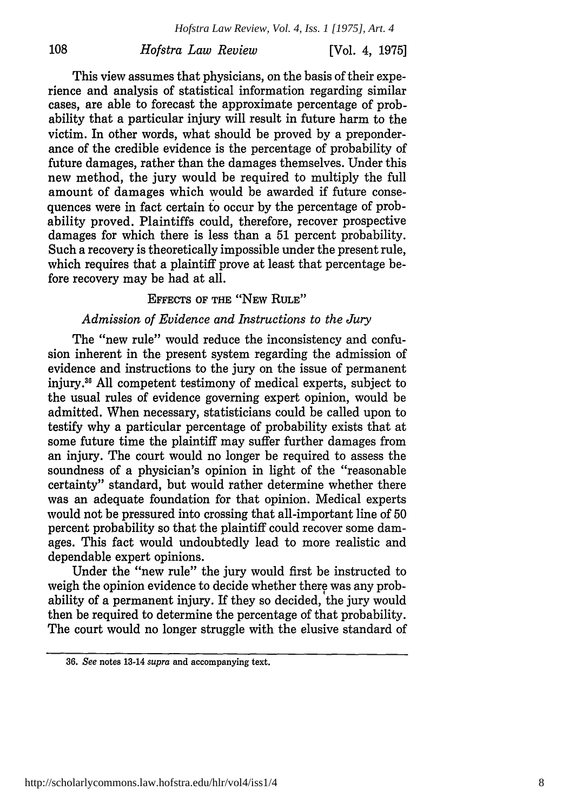108

[Vol. **4, 1975]**

This view assumes that physicians, on the basis of their experience and analysis of statistical information regarding similar cases, are able to forecast the approximate percentage of probability that a particular injury will result in future harm to the victim. In other words, what should be proved by a preponderance of the credible evidence is the percentage of probability of future damages, rather than the damages themselves. Under this new method, the jury would be required to multiply the full amount of damages which would be awarded if future consequences were in fact certain to occur by the percentage of probability proved. Plaintiffs could, therefore, recover prospective damages for which there is less than a 51 percent probability. Such a recovery is theoretically impossible under the present rule, which requires that a plaintiff prove at least that percentage before recovery may be had at all.

#### EFFECTS OF THE "NEw RuLE"

#### *Admission of Evidence and Instructions to the Jury*

The "new rule" would reduce the inconsistency and confusion inherent in the present system regarding the admission of evidence and instructions to the jury on the issue of permanent injury.<sup>36</sup> All competent testimony of medical experts, subject to the usual rules of evidence governing expert opinion, would be admitted. When necessary, statisticians could be called upon to testify why a particular percentage of probability exists that at some future time the plaintiff may suffer further damages from an injury. The court would no longer be required to assess the soundness of a physician's opinion in light of the "reasonable certainty" standard, but would rather determine whether there was an adequate foundation for that opinion. Medical experts would not be pressured into crossing that all-important line of 50 percent probability so that the plaintiff could recover some damages. This fact would undoubtedly lead to more realistic and dependable expert opinions.

Under the "new rule" the jury would first be instructed to weigh the opinion evidence to decide whether there was any probability of a permanent injury. If they so decided, the jury would then be required to determine the percentage of that probability. The court would no longer struggle with the elusive standard of

<sup>36.</sup> *See* notes 13-14 *supra* and accompanying text.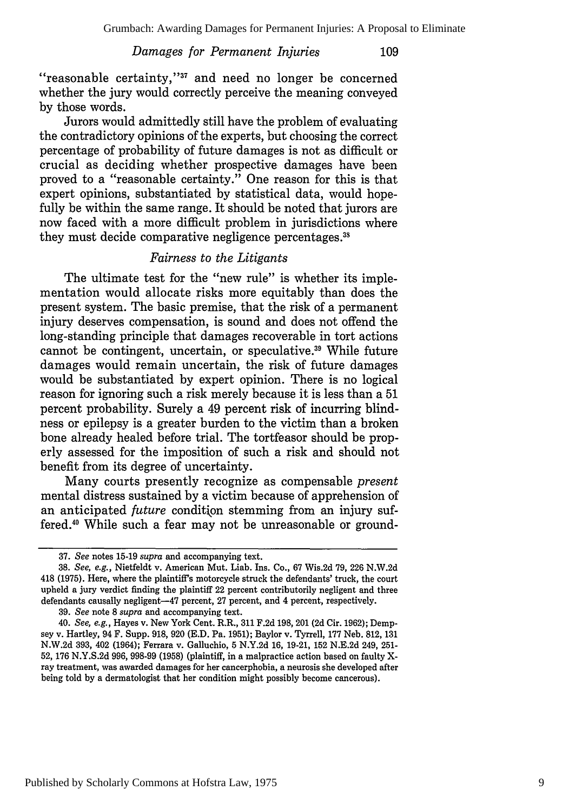109

"reasonable certainty," $37$  and need no longer be concerned whether the jury would correctly perceive the meaning conveyed by those words.

Jurors would admittedly still have the problem of evaluating the contradictory opinions of the experts, but choosing the correct percentage of probability of future damages is not as difficult or crucial as deciding whether prospective damages have been proved to a "reasonable certainty." One reason for this is that expert opinions, substantiated by statistical data, would hopefully be within the same range. It should be noted that jurors are now faced with a more difficult problem in jurisdictions where they must decide comparative negligence percentages.<sup>38</sup>

# *Fairness to the Litigants*

The ultimate test for the "new rule" is whether its implementation would allocate risks more equitably than does the present system. The basic premise, that the risk of a permanent injury deserves compensation, is sound and does not offend the long-standing principle that damages recoverable in tort actions cannot be contingent, uncertain, or speculative.<sup>39</sup> While future damages would remain uncertain, the risk of future damages would be substantiated by expert opinion. There is no logical reason for ignoring such a risk merely because it is less than a 51 percent probability. Surely a 49 percent risk of incurring blindness or epilepsy is a greater burden to the victim than a broken bone already healed before trial. The tortfeasor should be properly assessed for the imposition of such a risk and should not benefit from its degree of uncertainty.

Many courts presently recognize as compensable *present* mental distress sustained by a victim because of apprehension of an anticipated *future* condition stemming from an injury suffered.<sup>40</sup> While such a fear may not be unreasonable or ground-

<sup>37.</sup> *See* notes 15-19 *supra* and accompanying text.

<sup>38.</sup> *See, e.g.,* Nietfeldt v. American Mut. Liab. Ins. Co., 67 Wis.2d 79, 226 N.W.2d 418 **(1975).** Here, where the plaintiff's motorcycle struck the defendants' truck, the court upheld a jury verdict finding the plaintiff 22 percent contributorily negligent and three defendants causally negligent-47 percent, 27 percent, and 4 percent, respectively.

<sup>39.</sup> *See* note **8** *supra* and accompanying text.

<sup>40.</sup> *See, e.g.,* Hayes v. New York Cent. R.R., 311 F.2d 198, 201 (2d Cir. 1962); Dempsey v. Hartley, 94 F. Supp. 918, 920 (E.D. Pa. 1951); Baylor v. Tyrrell, 177 Neb. 812, 131 N.W.2d 393, 402 (1964); Ferrara v. Galluchio, 5 N.Y.2d 16, 19-21, 152 N.E.2d 249, 251- 52, 176 N.Y.S.2d 996, 998-99 (1958) (plaintiff, in a malpractice action based on faulty Xray treatment, was awarded damages for her cancerphobia, a neurosis she developed after being told by a dermatologist that her condition might possibly become cancerous).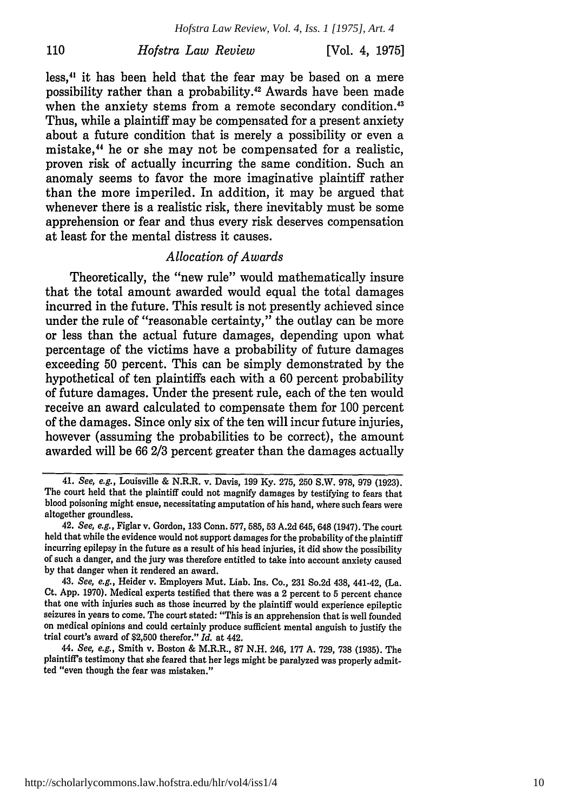110

less,4' it has been held that the fear may be based on a mere possibility rather than a probability.<sup>42</sup> Awards have been made when the anxiety stems from a remote secondary condition.<sup>43</sup> Thus, while a plaintiff may be compensated for a present anxiety about a future condition that is merely a possibility or even a mistake,44 he or she may not be compensated for a realistic, proven risk of actually incurring the same condition. Such an anomaly seems to favor the more imaginative plaintiff rather than the more imperiled. In addition, it may be argued that whenever there is a realistic risk, there inevitably must be some apprehension or fear and thus every risk deserves compensation at least for the mental distress it causes.

#### *Allocation of Awards*

Theoretically, the "new rule" would mathematically insure that the total amount awarded would equal the total damages incurred in the future. This result is not presently achieved since under the rule of "reasonable certainty," the outlay can be more or less than the actual future damages, depending upon what percentage of the victims have a probability of future damages exceeding 50 percent. This can be simply demonstrated by the hypothetical of ten plaintiffs each with a 60 percent probability of future damages. Under the present rule, each of the ten would receive an award calculated to compensate them for 100 percent of the damages. Since only six of the ten will incur future injuries, however (assuming the probabilities to be correct), the amount awarded will be 66 2/3 percent greater than the damages actually

<sup>41.</sup> *See, e.g.,* Louisville & N.R.R. v. Davis, 199 **Ky. 275,** 250 S.W. 978, 979 **(1923).** The court held that the plaintiff could not magnify damages by testifying to fears that blood poisoning might ensue, necessitating amputation of his hand, where such fears were altogether groundless.

<sup>42.</sup> *See, e.g.,* Figlar v. Gordon, 133 Conn. 577, 585, **53** A.2d 645, 648 (1947). The court held that while the evidence would not support damages for the probability of the plaintiff incurring epilepsy in the future as a result of his head injuries, it did show the possibility of such a danger, and the jury was therefore entitled to take into account anxiety caused by that danger when it rendered an award.

<sup>43.</sup> *See, e.g.,* Heider v. Employers Mut. Liab. Ins. Co., 231 So.2d 438, 441-42, (La. Ct. App. 1970). Medical experts testified that there was a 2 percent to 5 percent chance that one with injuries such as those incurred by the plaintiff would experience epileptic seizures in years to come. The court stated: "This is an apprehension that is well founded on medical opinions and could certainly produce sufficient mental anguish to justify the trial court's award of \$2,500 therefor." *Id.* at 442.

<sup>44.</sup> *See, e.g.,* Smith v. Boston & M.R.R., 87 N.H. 246, 177 A. 729, 738 (1935). The plaintiff's testimony that she feared that her legs might be paralyzed was properly admitted "even though the fear was mistaken."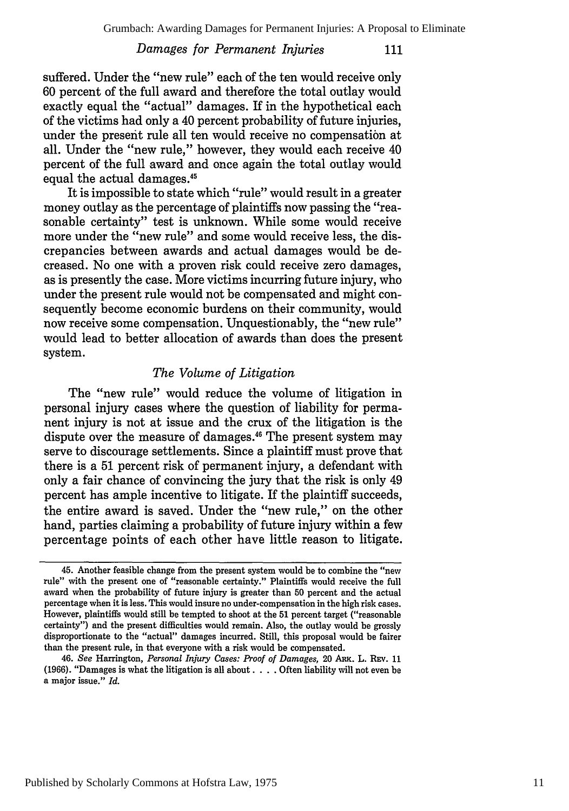suffered. Under the "new rule" each of the ten would receive only 60 percent of the full award and therefore the total outlay would exactly equal the "actual" damages. If in the hypothetical each of the victims had only a 40 percent probability of future injuries, under the present rule all ten would receive no compensation at all. Under the "new rule," however, they would each receive 40 percent of the full award and once again the total outlay would equal the actual damages.<sup>45</sup>

It is impossible to state which "rule" would result in a greater money outlay as the percentage of plaintiffs now passing the "reasonable certainty" test is unknown. While some would receive more under the "new rule" and some would receive less, the discrepancies between awards and actual damages would be decreased. No one with a proven risk could receive zero damages, as is presently the case. More victims incurring future injury, who under the present rule would not be compensated and might consequently become economic burdens on their community, would now receive some compensation. Unquestionably, the "new rule" would lead to better allocation of awards than does the present system.

# *The Volume of Litigation*

The "new rule" would reduce the volume of litigation in personal injury cases where the question of liability for permanent injury is not at issue and the crux of the litigation is the dispute over the measure of damages.<sup>46</sup> The present system may serve to discourage settlements. Since a plaintiff must prove that there is a 51 percent risk of permanent injury, a defendant with only a fair chance of convincing the jury that the risk is only 49 percent has ample incentive to litigate. If the plaintiff succeeds, the entire award is saved. Under the "new rule," on the other hand, parties claiming a probability of future injury within a few percentage points of each other have little reason to litigate.

<sup>45.</sup> Another feasible change from the present system would be to combine the "new rule" with the present one of "reasonable certainty." Plaintiffs would receive the full award when the probability of future injury is greater than 50 percent and the actual percentage when it is less. This would insure no under-compensation in the high risk cases. However, plaintiffs would still be tempted to shoot at the 51 percent target ("reasonable certainty") and the present difficulties would remain. Also, the outlay would be grossly disproportionate to the "actual" damages incurred. Still, this proposal would be fairer than the present rule, in that everyone with a risk would be compensated.

<sup>46.</sup> *See* Harrington, *Personal Injury Cases: Proof of Damages,* 20 ARK. L. REV. **11** (1966). "Damages is what the litigation is all about. . **.** . Often liability will not even be a major issue." *Id.*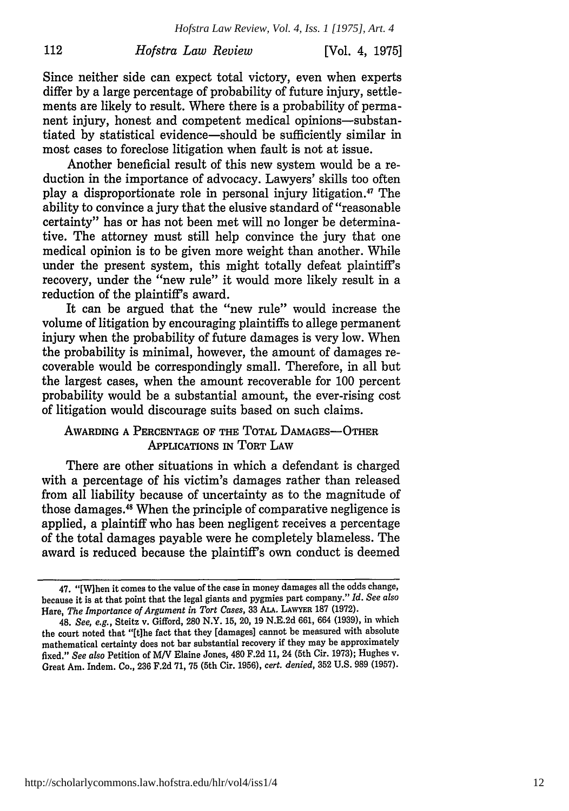112

[Vol. 4, **1975]**

Since neither side can expect total victory, even when experts differ by a large percentage of probability of future injury, settlements are likely to result. Where there is a probability of permanent injury, honest and competent medical opinions-substantiated by statistical evidence-should be sufficiently similar in most cases to foreclose litigation when fault is not at issue.

Another beneficial result of this new system would be a reduction in the importance of advocacy. Lawyers' skills too often play a disproportionate role in personal injury litigation." The ability to convince a jury that the elusive standard of "reasonable certainty" has or has not been met will no longer be determinative. The attorney must still help convince the jury that one medical opinion is to be given more weight than another. While under the present system, this might totally defeat plaintiff's recovery, under the "new rule" it would more likely result in a reduction of the plaintiff's award.

It can be argued that the "new rule" would increase the volume of litigation by encouraging plaintiffs to allege permanent injury when the probability of future damages is very low. When the probability is minimal, however, the amount of damages recoverable would be correspondingly small. Therefore, in all but the largest cases, when the amount recoverable for 100 percent probability would be a substantial amount, the ever-rising cost of litigation would discourage suits based on such claims.

# AWARDING A PERCENTAGE OF THE TOTAL DAMAGES-OTHER APPLICATIONS IN TORT LAW

There are other situations in which a defendant is charged with a percentage of his victim's damages rather than released from all liability because of uncertainty as to the magnitude of those damages.<sup>48</sup> When the principle of comparative negligence is applied, a plaintiff who has been negligent receives a percentage of the total damages payable were he completely blameless. The award is reduced because the plaintiff's own conduct is deemed

<sup>47. &</sup>quot;[W]hen it comes to the value of the case in money damages all the odds change, because it is at that point that the legal giants and pygmies part company." *Id. See also* Hare, *The Importance of Argument in Tort Cases,* **33 ALA. LAWYER** 187 (1972).

<sup>48.</sup> *See, e.g.,* Steitz v. Gifford, 280 N.Y. 15, 20, 19 N.E.2d 661, 664 (1939), in which the court noted that "[t]he fact that they [damages] cannot be measured with absolute mathematical certainty does not bar substantial recovery if they may be approximately fixed." *See also* Petition of MV Elaine Jones, 480 F.2d 11, 24 (5th Cir. 1973); Hughes v. Great Am. Indem. Co., 236 F.2d 71, 75 (5th Cir. 1956), *cert. denied,* 352 U.S. 989 (1957).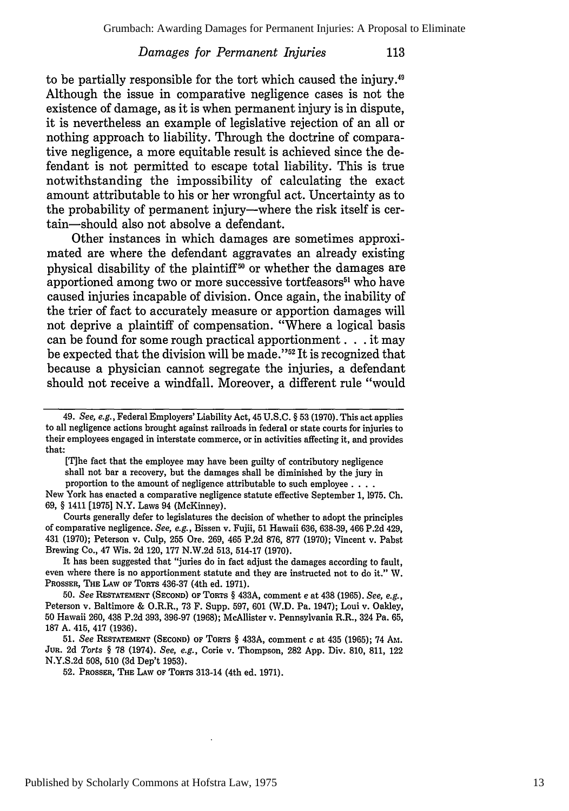to be partially responsible for the tort which caused the injury.<sup>49</sup> Although the issue in comparative negligence cases is not the existence of damage, as it is when permanent injury is in dispute, it is nevertheless an example of legislative rejection of an all or nothing approach to liability. Through the doctrine of comparative negligence, a more equitable result is achieved since the defendant is not permitted to escape total liability. This is true notwithstanding the impossibility of calculating the exact amount attributable to his or her wrongful act. Uncertainty as to the probability of permanent injury-where the risk itself is certain-should also not absolve a defendant.

Other instances in which damages are sometimes approximated are where the defendant aggravates an already existing physical disability of the plaintiff **°** or whether the damages are apportioned among two or more successive tortfeasors<sup>51</sup> who have caused injuries incapable of division. Once again, the inability of the trier of fact to accurately measure or apportion damages will not deprive a plaintiff of compensation. "Where a logical basis can be found for some rough practical apportionment. **. .** it may be expected that the division will be made."<sup>52</sup> It is recognized that because a physician cannot segregate the injuries, a defendant should not receive a windfall. Moreover, a different rule "would

[T]he fact that the employee may have been guilty of contributory negligence shall not bar a recovery, but the damages shall be diminished by the jury in proportion to the amount of negligence attributable to such employee **....**

New York has enacted a comparative negligence statute effective September 1, 1975. **Ch.** 69, § 1411 [1975] N.Y. Laws 94 (McKinney).

Courts generally defer to legislatures the decision of whether to adopt the principles of comparative negligence. *See, e.g.,* Bissen v. Fujii, 51 Hawaii 636, 638-39, 466 P.2d 429, 431 (1970); Peterson v. Culp, 255 Ore. 269, 465 P.2d 876, 877 (1970); Vincent v. Pabst Brewing Co., 47 Wis. 2d 120, 177 N.W.2d 513, 514-17 (1970).

It has been suggested that "juries do in fact adjust the damages according to fault, even where there is no apportionment statute and they are instructed not to do it." W. PROSSER, THE LAW OF TORTS 436-37 (4th ed. **1971).**

50. *See* RESTATEMENT (SECOND) OF TORTS § 433A, comment *e* at 438 (1965). *See, e.g.,* Peterson v. Baltimore & O.R.R., 73 F. Supp. 597, **601** (W.D. Pa. 1947); Loui v. Oakley, 50 Hawaii 260, 438 P.2d 393, 396-97 (1968); McAllister v. Pennsylvania R.R., 324 Pa. 65, 187 A. 415, 417 (1936).

51. *See* RESTATEMENT (SECOND) **OF** TORTS § 433A, comment c at 435 (1965); 74 **ANI.** Jua. 2d *Torts §* 78 (1974). *See, e.g.,* Corie v. Thompson, 282 App. Div. 810, 811, 122 N.Y.S.2d 508, 510 (3d Dep't 1953).

52. PROSSER, THE LAW OF TORTS 313-14 (4th ed. 1971).

<sup>49.</sup> *See, e.g.,* Federal Employers' Liability Act, 45 **U.S.C.** § 53 **(1970).** This act applies to all negligence actions brought against railroads in federal or state courts for injuries to their employees engaged in interstate commerce, or in activities affecting it, and provides that: